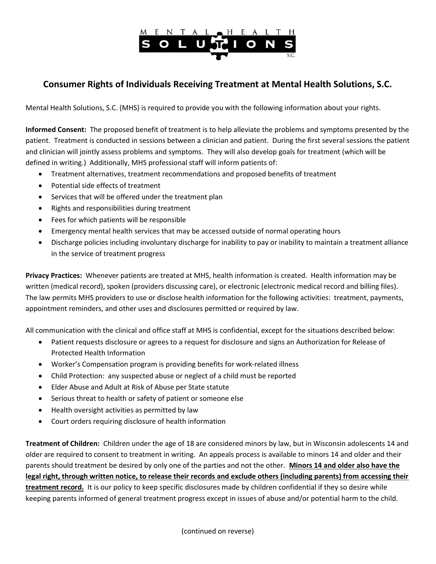

# Consumer Rights of Individuals Receiving Treatment at Mental Health Solutions, S.C.

Mental Health Solutions, S.C. (MHS) is required to provide you with the following information about your rights.

Informed Consent: The proposed benefit of treatment is to help alleviate the problems and symptoms presented by the patient. Treatment is conducted in sessions between a clinician and patient. During the first several sessions the patient and clinician will jointly assess problems and symptoms. They will also develop goals for treatment (which will be defined in writing.) Additionally, MHS professional staff will inform patients of:

- Treatment alternatives, treatment recommendations and proposed benefits of treatment
- Potential side effects of treatment
- Services that will be offered under the treatment plan
- Rights and responsibilities during treatment
- Fees for which patients will be responsible
- Emergency mental health services that may be accessed outside of normal operating hours
- Discharge policies including involuntary discharge for inability to pay or inability to maintain a treatment alliance in the service of treatment progress

Privacy Practices: Whenever patients are treated at MHS, health information is created. Health information may be written (medical record), spoken (providers discussing care), or electronic (electronic medical record and billing files). The law permits MHS providers to use or disclose health information for the following activities: treatment, payments, appointment reminders, and other uses and disclosures permitted or required by law.

All communication with the clinical and office staff at MHS is confidential, except for the situations described below:

- Patient requests disclosure or agrees to a request for disclosure and signs an Authorization for Release of Protected Health Information
- Worker's Compensation program is providing benefits for work-related illness
- Child Protection: any suspected abuse or neglect of a child must be reported
- Elder Abuse and Adult at Risk of Abuse per State statute
- Serious threat to health or safety of patient or someone else
- Health oversight activities as permitted by law
- Court orders requiring disclosure of health information

Treatment of Children: Children under the age of 18 are considered minors by law, but in Wisconsin adolescents 14 and older are required to consent to treatment in writing. An appeals process is available to minors 14 and older and their parents should treatment be desired by only one of the parties and not the other. Minors 14 and older also have the legal right, through written notice, to release their records and exclude others (including parents) from accessing their treatment record. It is our policy to keep specific disclosures made by children confidential if they so desire while keeping parents informed of general treatment progress except in issues of abuse and/or potential harm to the child.